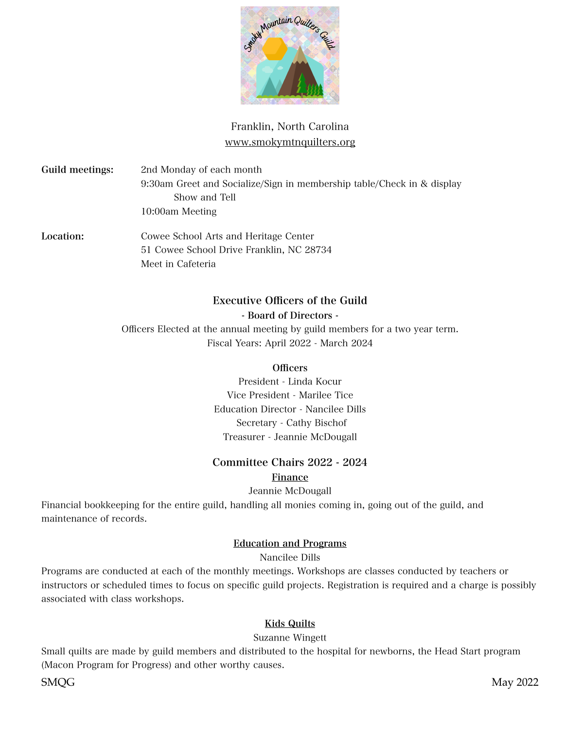

# Franklin, North Carolina www.smokymtnquilters.org

Guild meetings: 2nd Monday of each month 9:30am Greet and Socialize/Sign in membership table/Check in & display Show and Tell 10:00am Meeting

Location: Cowee School Arts and Heritage Center 51 Cowee School Drive Franklin, NC 28734 Meet in Cafeteria

## Executive Officers of the Guild

#### - Board of Directors -

Officers Elected at the annual meeting by guild members for a two year term. Fiscal Years: April 2022 - March 2024

## **Officers**

President - Linda Kocur Vice President - Marilee Tice Education Director - Nancilee Dills Secretary - Cathy Bischof Treasurer - Jeannie McDougall

## Committee Chairs 2022 - 2024

## Finance

Jeannie McDougall

Financial bookkeeping for the entire guild, handling all monies coming in, going out of the guild, and maintenance of records.

## Education and Programs

Nancilee Dills

Programs are conducted at each of the monthly meetings. Workshops are classes conducted by teachers or instructors or scheduled times to focus on specific guild projects. Registration is required and a charge is possibly associated with class workshops.

## Kids Quilts

## Suzanne Wingett

Small quilts are made by guild members and distributed to the hospital for newborns, the Head Start program (Macon Program for Progress) and other worthy causes.